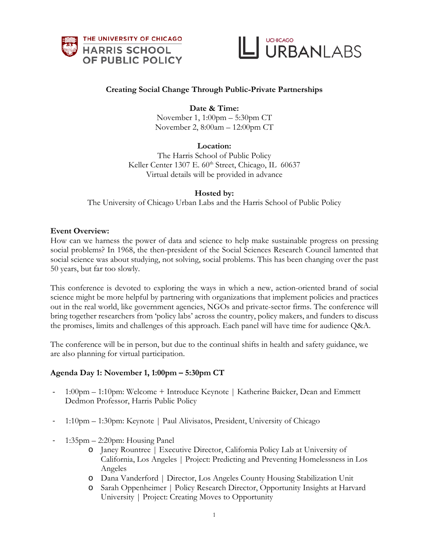



# **Creating Social Change Through Public-Private Partnerships**

# **Date & Time:**

November 1, 1:00pm – 5:30pm CT November 2, 8:00am – 12:00pm CT

### **Location:**

The Harris School of Public Policy Keller Center 1307 E. 60<sup>th</sup> Street, Chicago, IL 60637 Virtual details will be provided in advance

### **Hosted by:**

The University of Chicago Urban Labs and the Harris School of Public Policy

#### **Event Overview:**

How can we harness the power of data and science to help make sustainable progress on pressing social problems? In 1968, the then-president of the Social Sciences Research Council lamented that social science was about studying, not solving, social problems. This has been changing over the past 50 years, but far too slowly.

This conference is devoted to exploring the ways in which a new, action-oriented brand of social science might be more helpful by partnering with organizations that implement policies and practices out in the real world, like government agencies, NGOs and private-sector firms. The conference will bring together researchers from 'policy labs' across the country, policy makers, and funders to discuss the promises, limits and challenges of this approach. Each panel will have time for audience Q&A.

The conference will be in person, but due to the continual shifts in health and safety guidance, we are also planning for virtual participation.

### **Agenda Day 1: November 1, 1:00pm – 5:30pm CT**

- 1:00pm 1:10pm: Welcome + Introduce Keynote | Katherine Baicker, Dean and Emmett Dedmon Professor, Harris Public Policy
- 1:10pm 1:30pm: Keynote | Paul Alivisatos, President, University of Chicago
- 1:35pm 2:20pm: Housing Panel
	- o Janey Rountree | Executive Director, California Policy Lab at University of California, Los Angeles | Project: Predicting and Preventing Homelessness in Los Angeles
	- o Dana Vanderford | Director, Los Angeles County Housing Stabilization Unit
	- o Sarah Oppenheimer | Policy Research Director, Opportunity Insights at Harvard University | Project: Creating Moves to Opportunity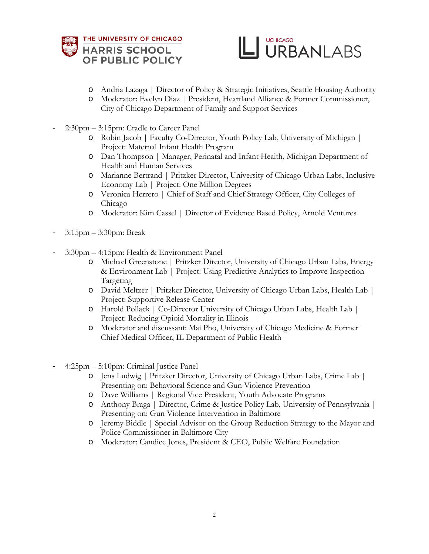



- o Andria Lazaga | Director of Policy & Strategic Initiatives, Seattle Housing Authority
- o Moderator: Evelyn Diaz | President, Heartland Alliance & Former Commissioner, City of Chicago Department of Family and Support Services
- 2:30pm 3:15pm: Cradle to Career Panel
	- o Robin Jacob | Faculty Co-Director, Youth Policy Lab, University of Michigan | Project: Maternal Infant Health Program
	- o Dan Thompson | Manager, Perinatal and Infant Health, Michigan Department of Health and Human Services
	- o Marianne Bertrand | Pritzker Director, University of Chicago Urban Labs, Inclusive Economy Lab | Project: One Million Degrees
	- o Veronica Herrero | Chief of Staff and Chief Strategy Officer, City Colleges of Chicago
	- o Moderator: Kim Cassel | Director of Evidence Based Policy, Arnold Ventures
- 3:15pm 3:30pm: Break
- 3:30pm 4:15pm: Health & Environment Panel
	- o Michael Greenstone | Pritzker Director, University of Chicago Urban Labs, Energy & Environment Lab | Project: Using Predictive Analytics to Improve Inspection Targeting
	- o David Meltzer | Pritzker Director, University of Chicago Urban Labs, Health Lab | Project: Supportive Release Center
	- o Harold Pollack | Co-Director University of Chicago Urban Labs, Health Lab | Project: Reducing Opioid Mortality in Illinois
	- o Moderator and discussant: Mai Pho, University of Chicago Medicine & Former Chief Medical Officer, IL Department of Public Health
- 4:25pm 5:10pm: Criminal Justice Panel
	- o Jens Ludwig | Pritzker Director, University of Chicago Urban Labs, Crime Lab | Presenting on: Behavioral Science and Gun Violence Prevention
	- o Dave Williams | Regional Vice President, Youth Advocate Programs
	- o Anthony Braga | Director, Crime & Justice Policy Lab, University of Pennsylvania | Presenting on: Gun Violence Intervention in Baltimore
	- o Jeremy Biddle | Special Advisor on the Group Reduction Strategy to the Mayor and Police Commissioner in Baltimore City
	- o Moderator: Candice Jones, President & CEO, Public Welfare Foundation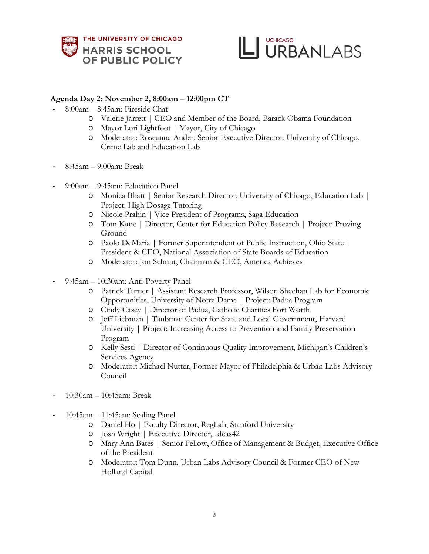



# **Agenda Day 2: November 2, 8:00am – 12:00pm CT**

- 8:00am 8:45am: Fireside Chat
	- o Valerie Jarrett | CEO and Member of the Board, Barack Obama Foundation
	- o Mayor Lori Lightfoot | Mayor, City of Chicago
	- o Moderator: Roseanna Ander, Senior Executive Director, University of Chicago, Crime Lab and Education Lab
- 8:45am 9:00am: Break
- 9:00am 9:45am: Education Panel
	- o Monica Bhatt | Senior Research Director, University of Chicago, Education Lab | Project: High Dosage Tutoring
	- o Nicole Prahin | Vice President of Programs, Saga Education
	- o Tom Kane | Director, Center for Education Policy Research | Project: Proving Ground
	- o Paolo DeMaria | Former Superintendent of Public Instruction, Ohio State | President & CEO, National Association of State Boards of Education
	- o Moderator: Jon Schnur, Chairman & CEO, America Achieves
- 9:45am 10:30am: Anti-Poverty Panel
	- o Patrick Turner | Assistant Research Professor, Wilson Sheehan Lab for Economic Opportunities, University of Notre Dame | Project: Padua Program
	- o Cindy Casey | Director of Padua, Catholic Charities Fort Worth
	- o Jeff Liebman | Taubman Center for State and Local Government, Harvard University | Project: Increasing Access to Prevention and Family Preservation Program
	- o Kelly Sesti | Director of Continuous Quality Improvement, Michigan's Children's Services Agency
	- o Moderator: Michael Nutter, Former Mayor of Philadelphia & Urban Labs Advisory Council
- 10:30am 10:45am: Break
- 10:45am 11:45am: Scaling Panel
	- o Daniel Ho | Faculty Director, RegLab, Stanford University
	- o Josh Wright | Executive Director, Ideas42
	- o Mary Ann Bates | Senior Fellow, Office of Management & Budget, Executive Office of the President
	- o Moderator: Tom Dunn, Urban Labs Advisory Council & Former CEO of New Holland Capital